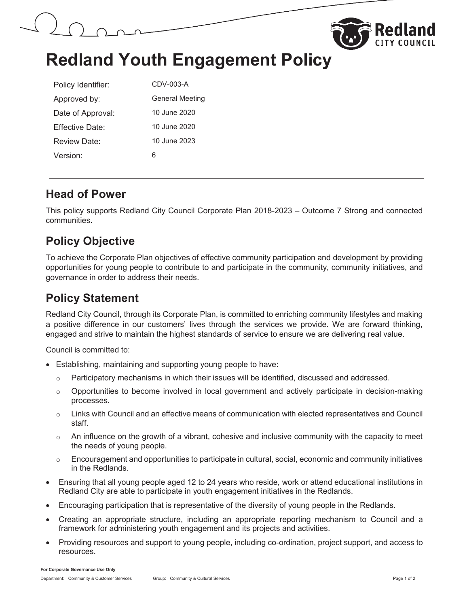



# **Redland Youth Engagement Policy**

| Policy Identifier: | CDV-003-A       |
|--------------------|-----------------|
| Approved by:       | General Meeting |
| Date of Approval:  | 10 June 2020    |
| Fffective Date:    | 10 June 2020    |
| Review Date:       | 10 June 2023    |
| Version:           | 6               |

#### **Head of Power**

This policy supports Redland City Council Corporate Plan 2018-2023 – Outcome 7 Strong and connected communities.

### **Policy Objective**

To achieve the Corporate Plan objectives of effective community participation and development by providing opportunities for young people to contribute to and participate in the community, community initiatives, and governance in order to address their needs.

### **Policy Statement**

Redland City Council, through its Corporate Plan, is committed to enriching community lifestyles and making a positive difference in our customers' lives through the services we provide. We are forward thinking, engaged and strive to maintain the highest standards of service to ensure we are delivering real value.

Council is committed to:

- Establishing, maintaining and supporting young people to have:
	- $\circ$  Participatory mechanisms in which their issues will be identified, discussed and addressed.
	- o Opportunities to become involved in local government and actively participate in decision-making processes.
	- $\circ$  Links with Council and an effective means of communication with elected representatives and Council staff.
	- $\circ$  An influence on the growth of a vibrant, cohesive and inclusive community with the capacity to meet the needs of young people.
	- $\circ$  Encouragement and opportunities to participate in cultural, social, economic and community initiatives in the Redlands.
- Ensuring that all young people aged 12 to 24 years who reside, work or attend educational institutions in Redland City are able to participate in youth engagement initiatives in the Redlands.
- Encouraging participation that is representative of the diversity of young people in the Redlands.
- x Creating an appropriate structure, including an appropriate reporting mechanism to Council and a framework for administering youth engagement and its projects and activities.
- Providing resources and support to young people, including co-ordination, project support, and access to resources.